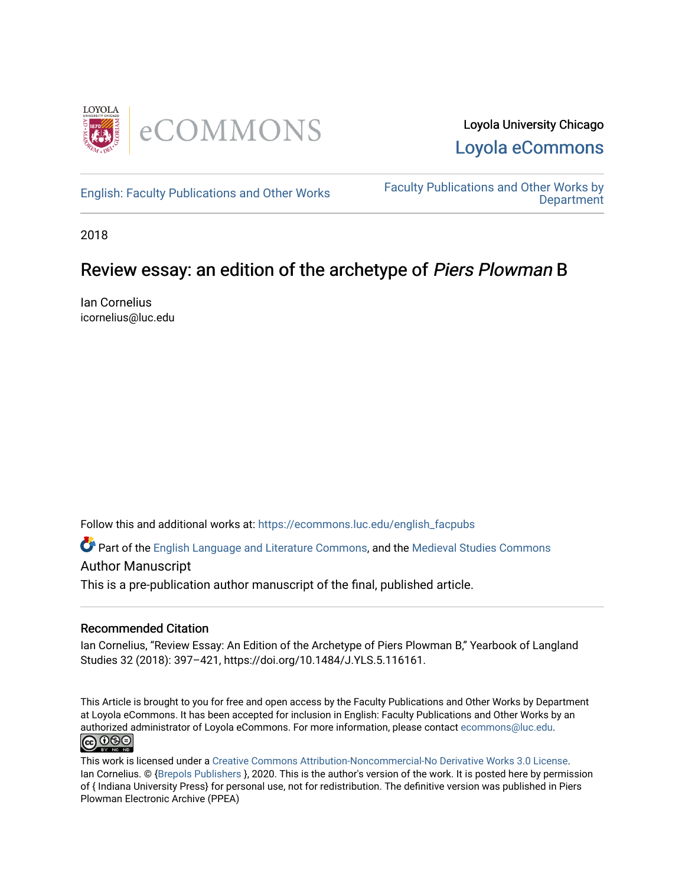

[English: Faculty Publications and Other Works](https://ecommons.luc.edu/english_facpubs) Faculty Publications and Other Works by **Department** 

2018

## Review essay: an edition of the archetype of Piers Plowman B

Ian Cornelius icornelius@luc.edu

Follow this and additional works at: [https://ecommons.luc.edu/english\\_facpubs](https://ecommons.luc.edu/english_facpubs?utm_source=ecommons.luc.edu%2Fenglish_facpubs%2F86&utm_medium=PDF&utm_campaign=PDFCoverPages) 

Part of the [English Language and Literature Commons](https://network.bepress.com/hgg/discipline/455?utm_source=ecommons.luc.edu%2Fenglish_facpubs%2F86&utm_medium=PDF&utm_campaign=PDFCoverPages), and the [Medieval Studies Commons](https://network.bepress.com/hgg/discipline/480?utm_source=ecommons.luc.edu%2Fenglish_facpubs%2F86&utm_medium=PDF&utm_campaign=PDFCoverPages) 

#### Author Manuscript

This is a pre-publication author manuscript of the final, published article.

#### Recommended Citation

Ian Cornelius, "Review Essay: An Edition of the Archetype of Piers Plowman B," Yearbook of Langland Studies 32 (2018): 397–421, https://doi.org/10.1484/J.YLS.5.116161.

This Article is brought to you for free and open access by the Faculty Publications and Other Works by Department at Loyola eCommons. It has been accepted for inclusion in English: Faculty Publications and Other Works by an authorized administrator of Loyola eCommons. For more information, please contact [ecommons@luc.edu](mailto:ecommons@luc.edu). **@000** 

This work is licensed under a [Creative Commons Attribution-Noncommercial-No Derivative Works 3.0 License.](https://creativecommons.org/licenses/by-nc-nd/3.0/) Ian Cornelius. © [{Brepols Publishers](https://v2.sherpa.ac.uk/id/publisher/1890) }, 2020. This is the author's version of the work. It is posted here by permission of { Indiana University Press} for personal use, not for redistribution. The definitive version was published in Piers Plowman Electronic Archive (PPEA)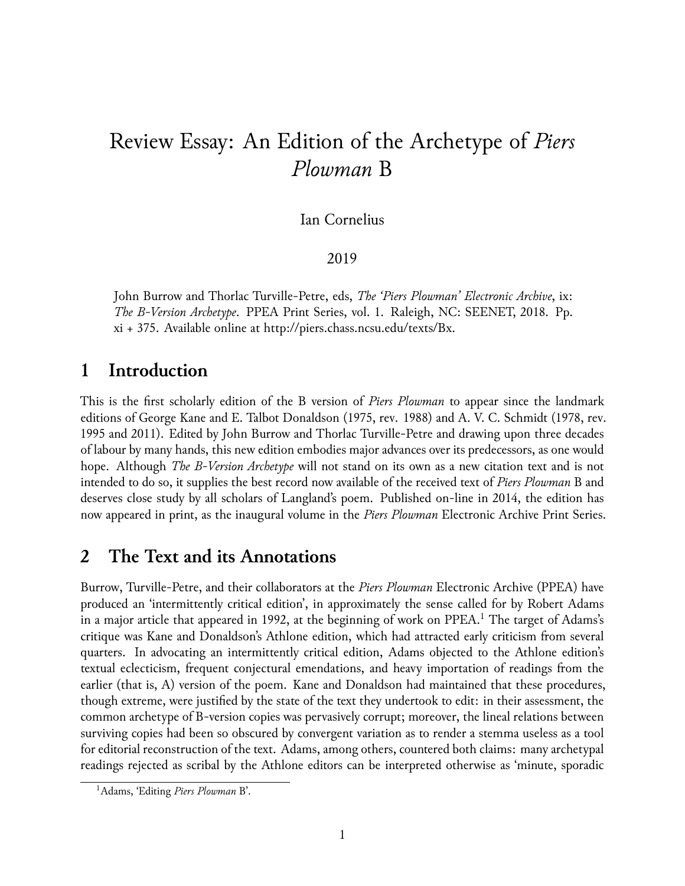# Review Essay: An Edition of the Archetype of *Piers Plowman* B

Ian Cornelius

2019

John Burrow and Thorlac Turville-Petre, eds, *The 'Piers Plowman' Electronic Archive*, ix: *The B-Version Archetype*. PPEA Print Series, vol. 1. Raleigh, NC: SEENET, 2018. Pp. xi + 375. Available online at <http://piers.chass.ncsu.edu/texts/Bx>.

### **1 Introduction**

This is the first scholarly edition of the B version of *Piers Plowman* to appear since the landmark editions of George Kane and E. Talbot Donaldson (1975, rev. 1988) and A. V. C. Schmidt (1978, rev. 1995 and 2011). Edited by John Burrow and Thorlac Turville-Petre and drawing upon three decades of labour by many hands, this new edition embodies major advances over its predecessors, as one would hope. Although *The B-Version Archetype* will not stand on its own as a new citation text and is not intended to do so, it supplies the best record now available of the received text of *Piers Plowman* B and deserves close study by all scholars of Langland's poem. Published on-line in 2014, the edition has now appeared in print, as the inaugural volume in the *Piers Plowman* Electronic Archive Print Series.

#### **2 The Text and its Annotations**

Burrow, Turville-Petre, and their collaborators at the *Piers Plowman* Electronic Archive (PPEA) have produced an 'intermittently critical edition', in approximately the sense called for by Robert Adams in a major article that appeared in [1](#page-1-0)992, at the beginning of work on PPEA.<sup>1</sup> The target of Adams's critique was Kane and Donaldson's Athlone edition, which had attracted early criticism from several quarters. In advocating an intermittently critical edition, Adams objected to the Athlone edition's textual eclecticism, frequent conjectural emendations, and heavy importation of readings from the earlier (that is, A) version of the poem. Kane and Donaldson had maintained that these procedures, though extreme, were justified by the state of the text they undertook to edit: in their assessment, the common archetype of B-version copies was pervasively corrupt; moreover, the lineal relations between surviving copies had been so obscured by convergent variation as to render a stemma useless as a tool for editorial reconstruction of the text. Adams, among others, countered both claims: many archetypal readings rejected as scribal by the Athlone editors can be interpreted otherwise as 'minute, sporadic

<span id="page-1-0"></span><sup>1</sup>Adams, 'Editing *Piers Plowman* B'.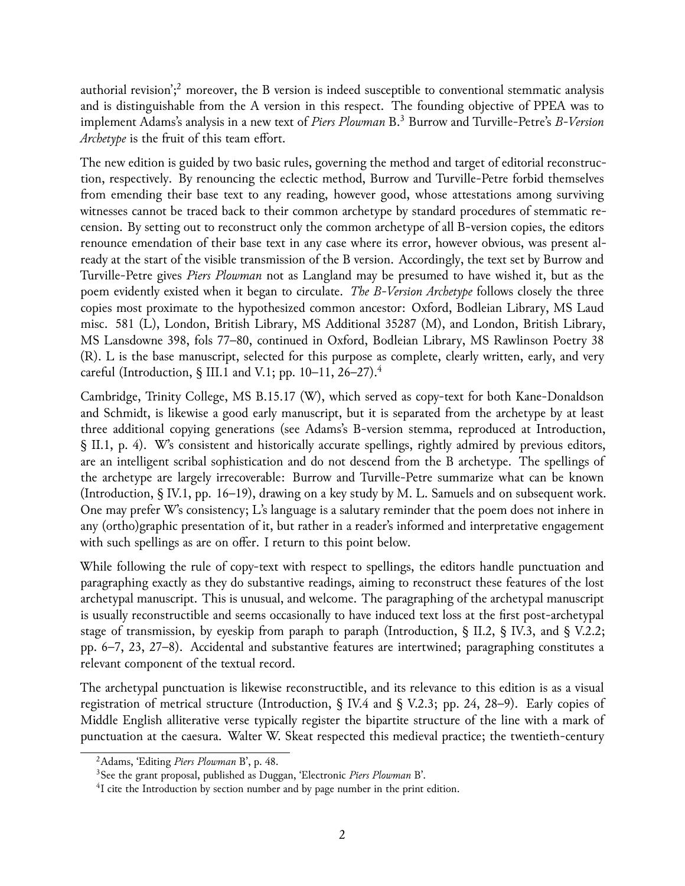authorial revision';<sup>[2](#page-2-0)</sup> moreover, the B version is indeed susceptible to conventional stemmatic analysis and is distinguishable from the A version in this respect. The founding objective of PPEA was to implement Adams's analysis in a new text of *Piers Plowman* B.[3](#page-2-1) Burrow and Turville-Petre's *B-Version Archetype* is the fruit of this team effort.

The new edition is guided by two basic rules, governing the method and target of editorial reconstruction, respectively. By renouncing the eclectic method, Burrow and Turville-Petre forbid themselves from emending their base text to any reading, however good, whose attestations among surviving witnesses cannot be traced back to their common archetype by standard procedures of stemmatic recension. By setting out to reconstruct only the common archetype of all B-version copies, the editors renounce emendation of their base text in any case where its error, however obvious, was present already at the start of the visible transmission of the B version. Accordingly, the text set by Burrow and Turville-Petre gives *Piers Plowman* not as Langland may be presumed to have wished it, but as the poem evidently existed when it began to circulate. *The B-Version Archetype* follows closely the three copies most proximate to the hypothesized common ancestor: Oxford, Bodleian Library, MS Laud misc. 581 (L), London, British Library, MS Additional 35287 (M), and London, British Library, MS Lansdowne 398, fols 77–80, continued in Oxford, Bodleian Library, MS Rawlinson Poetry 38 (R). L is the base manuscript, selected for this purpose as complete, clearly written, early, and very careful (Introduction, § III.1 and V.1; pp. 10–11, 26–27).<sup>[4](#page-2-2)</sup>

Cambridge, Trinity College, MS B.15.17 (W), which served as copy-text for both Kane-Donaldson and Schmidt, is likewise a good early manuscript, but it is separated from the archetype by at least three additional copying generations (see Adams's B-version stemma, reproduced at Introduction, § II.1, p. 4). W's consistent and historically accurate spellings, rightly admired by previous editors, are an intelligent scribal sophistication and do not descend from the B archetype. The spellings of the archetype are largely irrecoverable: Burrow and Turville-Petre summarize what can be known (Introduction,  $\S$  IV.1, pp. 16–19), drawing on a key study by M. L. Samuels and on subsequent work. One may prefer W's consistency; L's language is a salutary reminder that the poem does not inhere in any (ortho)graphic presentation of it, but rather in a reader's informed and interpretative engagement with such spellings as are on offer. I return to this point below.

While following the rule of copy-text with respect to spellings, the editors handle punctuation and paragraphing exactly as they do substantive readings, aiming to reconstruct these features of the lost archetypal manuscript. This is unusual, and welcome. The paragraphing of the archetypal manuscript is usually reconstructible and seems occasionally to have induced text loss at the first post-archetypal stage of transmission, by eyeskip from paraph to paraph (Introduction, § II.2, § IV.3, and § V.2.2; pp. 6–7, 23, 27–8). Accidental and substantive features are intertwined; paragraphing constitutes a relevant component of the textual record.

The archetypal punctuation is likewise reconstructible, and its relevance to this edition is as a visual registration of metrical structure (Introduction, § IV.4 and § V.2.3; pp. 24, 28–9). Early copies of Middle English alliterative verse typically register the bipartite structure of the line with a mark of punctuation at the caesura. Walter W. Skeat respected this medieval practice; the twentieth-century

<span id="page-2-0"></span><sup>2</sup>Adams, 'Editing *Piers Plowman* B', p. 48.

<span id="page-2-1"></span><sup>3</sup>See the grant proposal, published as Duggan, 'Electronic *Piers Plowman* B'.

<span id="page-2-2"></span><sup>&</sup>lt;sup>4</sup>I cite the Introduction by section number and by page number in the print edition.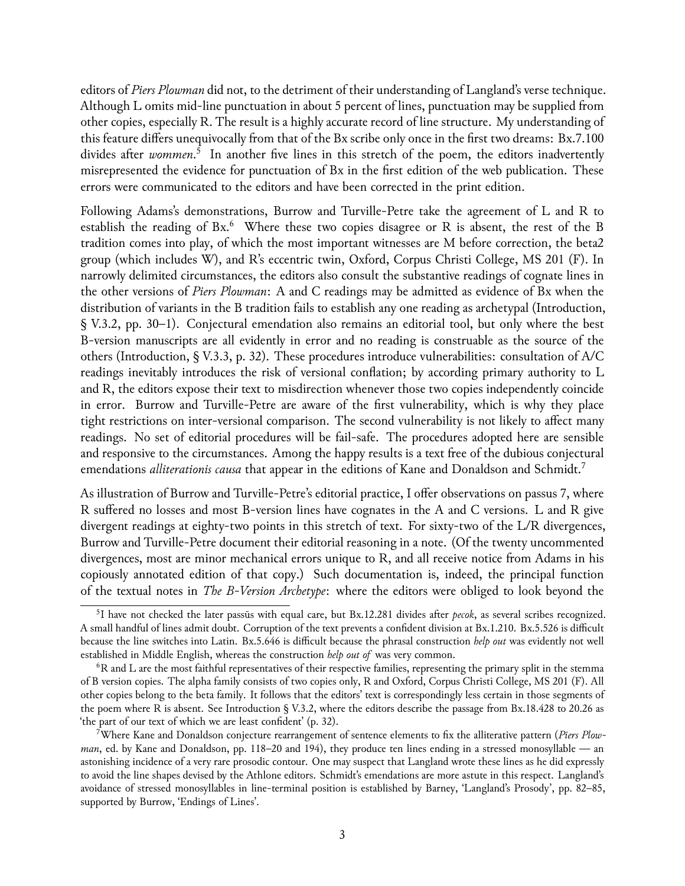editors of *Piers Plowman* did not, to the detriment of their understanding of Langland's verse technique. Although L omits mid-line punctuation in about 5 percent of lines, punctuation may be supplied from other copies, especially R. The result is a highly accurate record of line structure. My understanding of this feature differs unequivocally from that of the Bx scribe only once in the first two dreams: Bx.7.100 divides after *wommen*. [5](#page-3-0) In another five lines in this stretch of the poem, the editors inadvertently misrepresented the evidence for punctuation of Bx in the first edition of the web publication. These errors were communicated to the editors and have been corrected in the print edition.

Following Adams's demonstrations, Burrow and Turville-Petre take the agreement of L and R to establish the reading of Bx.<sup>[6](#page-3-1)</sup> Where these two copies disagree or R is absent, the rest of the B tradition comes into play, of which the most important witnesses are M before correction, the beta2 group (which includes W), and R's eccentric twin, Oxford, Corpus Christi College, MS 201 (F). In narrowly delimited circumstances, the editors also consult the substantive readings of cognate lines in the other versions of *Piers Plowman*: A and C readings may be admitted as evidence of Bx when the distribution of variants in the B tradition fails to establish any one reading as archetypal (Introduction, § V.3.2, pp. 30–1). Conjectural emendation also remains an editorial tool, but only where the best B-version manuscripts are all evidently in error and no reading is construable as the source of the others (Introduction, § V.3.3, p. 32). These procedures introduce vulnerabilities: consultation of A/C readings inevitably introduces the risk of versional conflation; by according primary authority to L and R, the editors expose their text to misdirection whenever those two copies independently coincide in error. Burrow and Turville-Petre are aware of the first vulnerability, which is why they place tight restrictions on inter-versional comparison. The second vulnerability is not likely to affect many readings. No set of editorial procedures will be fail-safe. The procedures adopted here are sensible and responsive to the circumstances. Among the happy results is a text free of the dubious conjectural emendations *alliterationis causa* that appear in the editions of Kane and Donaldson and Schmidt.[7](#page-3-2)

As illustration of Burrow and Turville-Petre's editorial practice, I offer observations on passus 7, where R suffered no losses and most B-version lines have cognates in the A and C versions. L and R give divergent readings at eighty-two points in this stretch of text. For sixty-two of the L/R divergences, Burrow and Turville-Petre document their editorial reasoning in a note. (Of the twenty uncommented divergences, most are minor mechanical errors unique to R, and all receive notice from Adams in his copiously annotated edition of that copy.) Such documentation is, indeed, the principal function of the textual notes in *The B-Version Archetype*: where the editors were obliged to look beyond the

<span id="page-3-0"></span><sup>5</sup> I have not checked the later passūs with equal care, but Bx.12.281 divides after *pecok*, as several scribes recognized. A small handful of lines admit doubt. Corruption of the text prevents a confident division at Bx.1.210. Bx.5.526 is difficult because the line switches into Latin. Bx.5.646 is difficult because the phrasal construction *help out* was evidently not well established in Middle English, whereas the construction *help out of* was very common.

<span id="page-3-1"></span><sup>6</sup>R and L are the most faithful representatives of their respective families, representing the primary split in the stemma of B version copies. The alpha family consists of two copies only, R and Oxford, Corpus Christi College, MS 201 (F). All other copies belong to the beta family. It follows that the editors' text is correspondingly less certain in those segments of the poem where R is absent. See Introduction § V.3.2, where the editors describe the passage from Bx.18.428 to 20.26 as 'the part of our text of which we are least confident' (p. 32).

<span id="page-3-2"></span><sup>7</sup>Where Kane and Donaldson conjecture rearrangement of sentence elements to fix the alliterative pattern (*Piers Plowman*, ed. by Kane and Donaldson, pp. 118–20 and 194), they produce ten lines ending in a stressed monosyllable — an astonishing incidence of a very rare prosodic contour. One may suspect that Langland wrote these lines as he did expressly to avoid the line shapes devised by the Athlone editors. Schmidt's emendations are more astute in this respect. Langland's avoidance of stressed monosyllables in line-terminal position is established by Barney, 'Langland's Prosody', pp. 82–85, supported by Burrow, 'Endings of Lines'.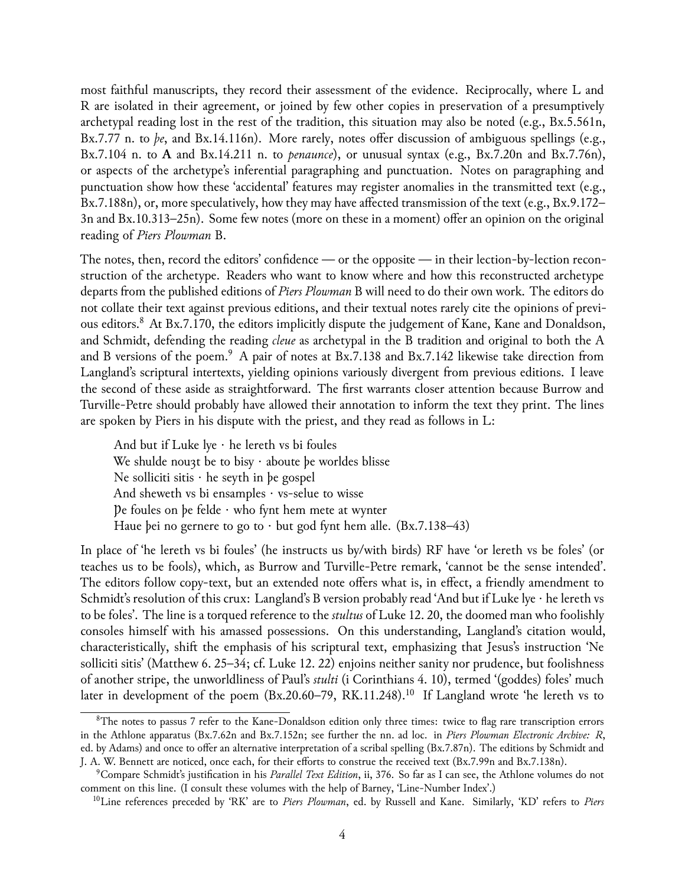most faithful manuscripts, they record their assessment of the evidence. Reciprocally, where L and R are isolated in their agreement, or joined by few other copies in preservation of a presumptively archetypal reading lost in the rest of the tradition, this situation may also be noted (e.g., Bx.5.561n, Bx.7.77 n. to *þe*, and Bx.14.116n). More rarely, notes offer discussion of ambiguous spellings (e.g., Bx.7.104 n. to **A** and Bx.14.211 n. to *penaunce*), or unusual syntax (e.g., Bx.7.20n and Bx.7.76n), or aspects of the archetype's inferential paragraphing and punctuation. Notes on paragraphing and punctuation show how these 'accidental' features may register anomalies in the transmitted text (e.g., Bx.7.188n), or, more speculatively, how they may have affected transmission of the text (e.g., Bx.9.172– 3n and Bx.10.313–25n). Some few notes (more on these in a moment) offer an opinion on the original reading of *Piers Plowman* B.

The notes, then, record the editors' confidence — or the opposite — in their lection-by-lection reconstruction of the archetype. Readers who want to know where and how this reconstructed archetype departs from the published editions of *Piers Plowman* B will need to do their own work. The editors do not collate their text against previous editions, and their textual notes rarely cite the opinions of previous editors.[8](#page-4-0) At Bx.7.170, the editors implicitly dispute the judgement of Kane, Kane and Donaldson, and Schmidt, defending the reading *cleue* as archetypal in the B tradition and original to both the A and B versions of the poem.<sup>[9](#page-4-1)</sup> A pair of notes at Bx.7.138 and Bx.7.142 likewise take direction from Langland's scriptural intertexts, yielding opinions variously divergent from previous editions. I leave the second of these aside as straightforward. The first warrants closer attention because Burrow and Turville-Petre should probably have allowed their annotation to inform the text they print. The lines are spoken by Piers in his dispute with the priest, and they read as follows in L:

And but if Luke  $lye \cdot he$  lereth vs bi foules We shulde nou3t be to bisy  $\cdot$  aboute þe worldes blisse Ne solliciti sitis  $\cdot$  he seyth in be gospel And sheweth vs bi ensamples  $\cdot$  vs-selue to wisse Þe foules on þe felde · who fynt hem mete at wynter Haue þei no gernere to go to  $\cdot$  but god fynt hem alle. (Bx.7.138–43)

In place of 'he lereth vs bi foules' (he instructs us by/with birds) RF have 'or lereth vs be foles' (or teaches us to be fools), which, as Burrow and Turville-Petre remark, 'cannot be the sense intended'. The editors follow copy-text, but an extended note offers what is, in effect, a friendly amendment to Schmidt's resolution of this crux: Langland's B version probably read 'And but if Luke lye  $\cdot$  he lereth vs to be foles'. The line is a torqued reference to the *stultus* of Luke 12. 20, the doomed man who foolishly consoles himself with his amassed possessions. On this understanding, Langland's citation would, characteristically, shift the emphasis of his scriptural text, emphasizing that Jesus's instruction 'Ne solliciti sitis' (Matthew 6. 25–34; cf. Luke 12. 22) enjoins neither sanity nor prudence, but foolishness of another stripe, the unworldliness of Paul's *stulti* (i Corinthians 4. 10), termed '(goddes) foles' much later in development of the poem (Bx.20.60–79, RK.11.248).<sup>[10](#page-4-2)</sup> If Langland wrote 'he lereth vs to

<span id="page-4-0"></span> $8$ The notes to passus 7 refer to the Kane-Donaldson edition only three times: twice to flag rare transcription errors in the Athlone apparatus (Bx.7.62n and Bx.7.152n; see further the nn. ad loc. in *Piers Plowman Electronic Archive: R*, ed. by Adams) and once to offer an alternative interpretation of a scribal spelling (Bx.7.87n). The editions by Schmidt and J. A. W. Bennett are noticed, once each, for their efforts to construe the received text (Bx.7.99n and Bx.7.138n).

<span id="page-4-1"></span><sup>9</sup>Compare Schmidt's justification in his *Parallel Text Edition*, ii, 376. So far as I can see, the Athlone volumes do not comment on this line. (I consult these volumes with the help of Barney, 'Line-Number Index'.)

<span id="page-4-2"></span><sup>10</sup>Line references preceded by 'RK' are to *Piers Plowman*, ed. by Russell and Kane. Similarly, 'KD' refers to *Piers*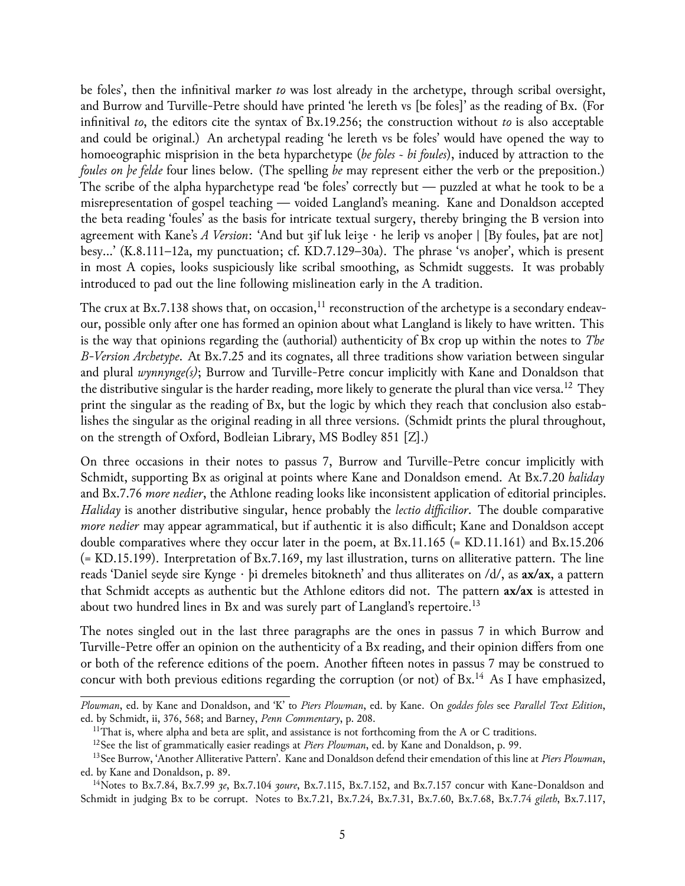be foles', then the infinitival marker *to* was lost already in the archetype, through scribal oversight, and Burrow and Turville-Petre should have printed 'he lereth vs [be foles]' as the reading of Bx. (For infinitival *to*, the editors cite the syntax of Bx.19.256; the construction without *to* is also acceptable and could be original.) An archetypal reading 'he lereth vs be foles' would have opened the way to homoeographic misprision in the beta hyparchetype (*be foles* ~ *bi foules*), induced by attraction to the *foules on þe felde* four lines below. (The spelling *be* may represent either the verb or the preposition.) The scribe of the alpha hyparchetype read 'be foles' correctly but — puzzled at what he took to be a misrepresentation of gospel teaching — voided Langland's meaning. Kane and Donaldson accepted the beta reading 'foules' as the basis for intricate textual surgery, thereby bringing the B version into agreement with Kane's *A Version*: 'And but 3if luk leize · he leriþ vs anoþer | [By foules, þat are not] besy…' (K.8.111–12a, my punctuation; cf. KD.7.129–30a). The phrase 'vs anoþer', which is present in most A copies, looks suspiciously like scribal smoothing, as Schmidt suggests. It was probably introduced to pad out the line following mislineation early in the A tradition.

The crux at Bx.7.138 shows that, on occasion,<sup>[11](#page-5-0)</sup> reconstruction of the archetype is a secondary endeavour, possible only after one has formed an opinion about what Langland is likely to have written. This is the way that opinions regarding the (authorial) authenticity of Bx crop up within the notes to *The B-Version Archetype*. At Bx.7.25 and its cognates, all three traditions show variation between singular and plural *wynnynge(s)*; Burrow and Turville-Petre concur implicitly with Kane and Donaldson that the distributive singular is the harder reading, more likely to generate the plural than vice versa.<sup>[12](#page-5-1)</sup> They print the singular as the reading of Bx, but the logic by which they reach that conclusion also establishes the singular as the original reading in all three versions. (Schmidt prints the plural throughout, on the strength of Oxford, Bodleian Library, MS Bodley 851 [Z].)

On three occasions in their notes to passus 7, Burrow and Turville-Petre concur implicitly with Schmidt, supporting Bx as original at points where Kane and Donaldson emend. At Bx.7.20 *haliday* and Bx.7.76 *more nedier*, the Athlone reading looks like inconsistent application of editorial principles. *Haliday* is another distributive singular, hence probably the *lectio difficilior*. The double comparative *more nedier* may appear agrammatical, but if authentic it is also difficult; Kane and Donaldson accept double comparatives where they occur later in the poem, at Bx.11.165 (= KD.11.161) and Bx.15.206 (= KD.15.199). Interpretation of Bx.7.169, my last illustration, turns on alliterative pattern. The line reads 'Daniel seyde sire Kynge · þi dremeles bitokneth' and thus alliterates on /d/, as **ax/ax**, a pattern that Schmidt accepts as authentic but the Athlone editors did not. The pattern **ax/ax** is attested in about two hundred lines in Bx and was surely part of Langland's repertoire.<sup>[13](#page-5-2)</sup>

The notes singled out in the last three paragraphs are the ones in passus 7 in which Burrow and Turville-Petre offer an opinion on the authenticity of a Bx reading, and their opinion differs from one or both of the reference editions of the poem. Another fifteen notes in passus 7 may be construed to concur with both previous editions regarding the corruption (or not) of  $Bx$ .<sup>[14](#page-5-3)</sup> As I have emphasized,

*Plowman*, ed. by Kane and Donaldson, and 'K' to *Piers Plowman*, ed. by Kane. On *goddes foles* see *Parallel Text Edition*, ed. by Schmidt, ii, 376, 568; and Barney, *Penn Commentary*, p. 208.

<span id="page-5-0"></span><sup>&</sup>lt;sup>11</sup>That is, where alpha and beta are split, and assistance is not forthcoming from the A or C traditions.

<span id="page-5-2"></span><span id="page-5-1"></span><sup>12</sup>See the list of grammatically easier readings at *Piers Plowman*, ed. by Kane and Donaldson, p. 99.

<sup>13</sup>See Burrow, 'Another Alliterative Pattern'. Kane and Donaldson defend their emendation of this line at *Piers Plowman*, ed. by Kane and Donaldson, p. 89.

<span id="page-5-3"></span><sup>14</sup>Notes to Bx.7.84, Bx.7.99 *ȝe*, Bx.7.104 *ȝoure*, Bx.7.115, Bx.7.152, and Bx.7.157 concur with Kane-Donaldson and Schmidt in judging Bx to be corrupt. Notes to Bx.7.21, Bx.7.24, Bx.7.31, Bx.7.60, Bx.7.68, Bx.7.74 *gileth*, Bx.7.117,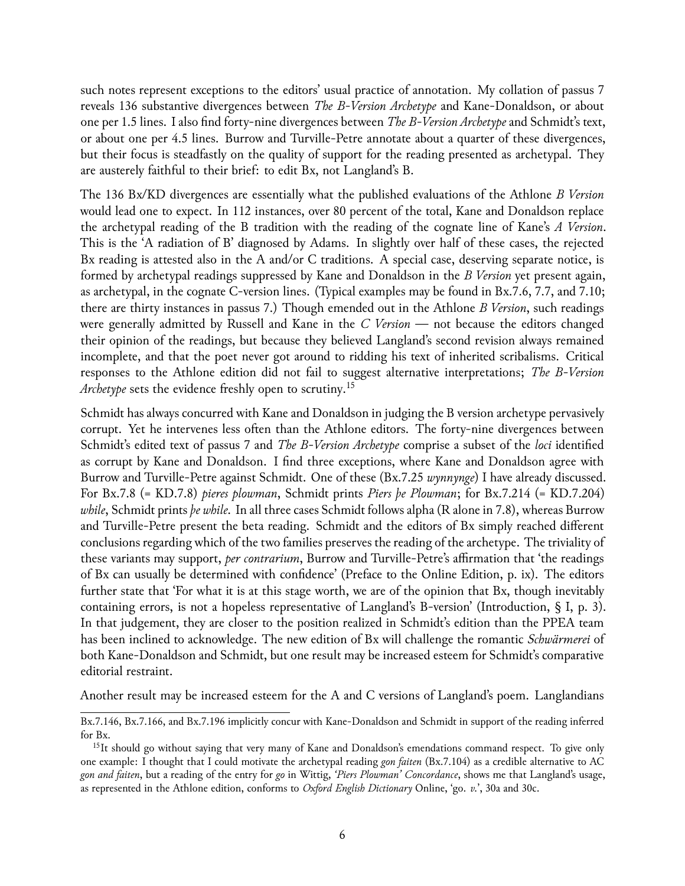such notes represent exceptions to the editors' usual practice of annotation. My collation of passus 7 reveals 136 substantive divergences between *The B-Version Archetype* and Kane-Donaldson, or about one per 1.5 lines. I also find forty-nine divergences between *The B-Version Archetype* and Schmidt's text, or about one per 4.5 lines. Burrow and Turville-Petre annotate about a quarter of these divergences, but their focus is steadfastly on the quality of support for the reading presented as archetypal. They are austerely faithful to their brief: to edit Bx, not Langland's B.

The 136 Bx/KD divergences are essentially what the published evaluations of the Athlone *B Version* would lead one to expect. In 112 instances, over 80 percent of the total, Kane and Donaldson replace the archetypal reading of the B tradition with the reading of the cognate line of Kane's *A Version*. This is the 'A radiation of B' diagnosed by Adams. In slightly over half of these cases, the rejected Bx reading is attested also in the A and/or C traditions. A special case, deserving separate notice, is formed by archetypal readings suppressed by Kane and Donaldson in the *B Version* yet present again, as archetypal, in the cognate C-version lines. (Typical examples may be found in Bx.7.6, 7.7, and 7.10; there are thirty instances in passus 7.) Though emended out in the Athlone *B Version*, such readings were generally admitted by Russell and Kane in the *C Version* — not because the editors changed their opinion of the readings, but because they believed Langland's second revision always remained incomplete, and that the poet never got around to ridding his text of inherited scribalisms. Critical responses to the Athlone edition did not fail to suggest alternative interpretations; *The B-Version Archetype* sets the evidence freshly open to scrutiny.<sup>[15](#page-6-0)</sup>

Schmidt has always concurred with Kane and Donaldson in judging the B version archetype pervasively corrupt. Yet he intervenes less often than the Athlone editors. The forty-nine divergences between Schmidt's edited text of passus 7 and *The B-Version Archetype* comprise a subset of the *loci* identified as corrupt by Kane and Donaldson. I find three exceptions, where Kane and Donaldson agree with Burrow and Turville-Petre against Schmidt. One of these (Bx.7.25 *wynnynge*) I have already discussed. For Bx.7.8 (= KD.7.8) *pieres plowman*, Schmidt prints *Piers þe Plowman*; for Bx.7.214 (= KD.7.204) *while*, Schmidt prints *þe while*. In all three cases Schmidt follows alpha (R alone in 7.8), whereas Burrow and Turville-Petre present the beta reading. Schmidt and the editors of Bx simply reached different conclusions regarding which of the two families preserves the reading of the archetype. The triviality of these variants may support, *per contrarium*, Burrow and Turville-Petre's affirmation that 'the readings of Bx can usually be determined with confidence' (Preface to the Online Edition, p. ix). The editors further state that 'For what it is at this stage worth, we are of the opinion that Bx, though inevitably containing errors, is not a hopeless representative of Langland's B-version' (Introduction, § I, p. 3). In that judgement, they are closer to the position realized in Schmidt's edition than the PPEA team has been inclined to acknowledge. The new edition of Bx will challenge the romantic *Schwärmerei* of both Kane-Donaldson and Schmidt, but one result may be increased esteem for Schmidt's comparative editorial restraint.

Another result may be increased esteem for the A and C versions of Langland's poem. Langlandians

Bx.7.146, Bx.7.166, and Bx.7.196 implicitly concur with Kane-Donaldson and Schmidt in support of the reading inferred for Bx.

<span id="page-6-0"></span><sup>&</sup>lt;sup>15</sup>It should go without saying that very many of Kane and Donaldson's emendations command respect. To give only one example: I thought that I could motivate the archetypal reading *gon faiten* (Bx.7.104) as a credible alternative to AC *gon and faiten*, but a reading of the entry for *go* in Wittig, *'Piers Plowman' Concordance*, shows me that Langland's usage, as represented in the Athlone edition, conforms to *Oxford English Dictionary* Online, 'go. *v.*', 30a and 30c.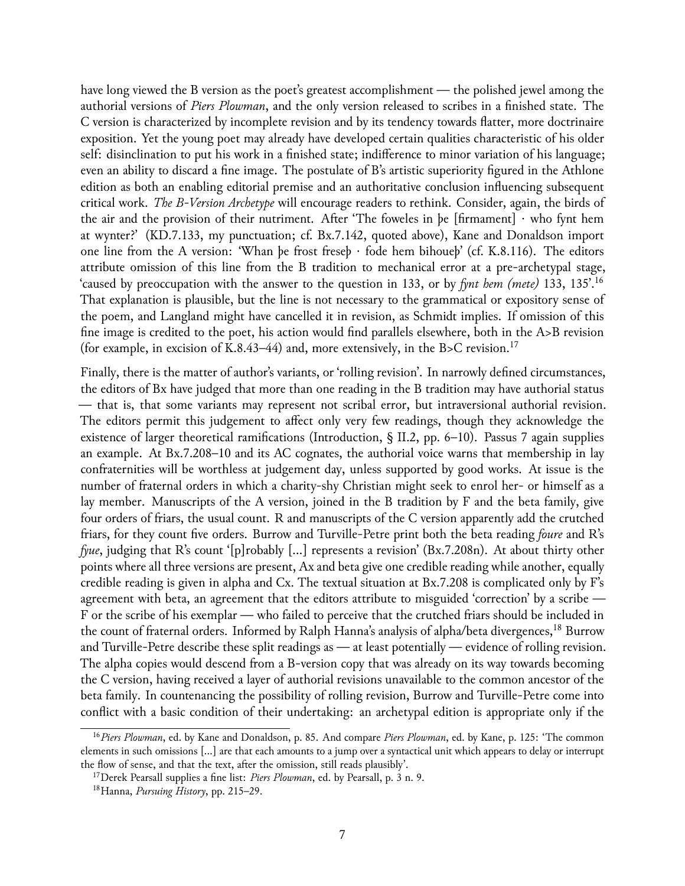have long viewed the B version as the poet's greatest accomplishment — the polished jewel among the authorial versions of *Piers Plowman*, and the only version released to scribes in a finished state. The C version is characterized by incomplete revision and by its tendency towards flatter, more doctrinaire exposition. Yet the young poet may already have developed certain qualities characteristic of his older self: disinclination to put his work in a finished state; indifference to minor variation of his language; even an ability to discard a fine image. The postulate of B's artistic superiority figured in the Athlone edition as both an enabling editorial premise and an authoritative conclusion influencing subsequent critical work. *The B-Version Archetype* will encourage readers to rethink. Consider, again, the birds of the air and the provision of their nutriment. After 'The foweles in þe [firmament] · who fynt hem at wynter?' (KD.7.133, my punctuation; cf. Bx.7.142, quoted above), Kane and Donaldson import one line from the A version: 'Whan þe frost freseþ · fode hem bihoueþ' (cf. K.8.116). The editors attribute omission of this line from the B tradition to mechanical error at a pre-archetypal stage, 'caused by preoccupation with the answer to the question in 133, or by *fynt hem (mete)* 133, 135'.[16](#page-7-0) That explanation is plausible, but the line is not necessary to the grammatical or expository sense of the poem, and Langland might have cancelled it in revision, as Schmidt implies. If omission of this fine image is credited to the poet, his action would find parallels elsewhere, both in the A>B revision (for example, in excision of K.8.43–44) and, more extensively, in the B>C revision.<sup>[17](#page-7-1)</sup>

Finally, there is the matter of author's variants, or 'rolling revision'. In narrowly defined circumstances, the editors of Bx have judged that more than one reading in the B tradition may have authorial status — that is, that some variants may represent not scribal error, but intraversional authorial revision. The editors permit this judgement to affect only very few readings, though they acknowledge the existence of larger theoretical ramifications (Introduction, § II.2, pp. 6–10). Passus 7 again supplies an example. At Bx.7.208–10 and its AC cognates, the authorial voice warns that membership in lay confraternities will be worthless at judgement day, unless supported by good works. At issue is the number of fraternal orders in which a charity-shy Christian might seek to enrol her- or himself as a lay member. Manuscripts of the A version, joined in the B tradition by F and the beta family, give four orders of friars, the usual count. R and manuscripts of the C version apparently add the crutched friars, for they count five orders. Burrow and Turville-Petre print both the beta reading *foure* and R's *fyue*, judging that R's count '[p]robably […] represents a revision' (Bx.7.208n). At about thirty other points where all three versions are present, Ax and beta give one credible reading while another, equally credible reading is given in alpha and Cx. The textual situation at Bx.7.208 is complicated only by F's agreement with beta, an agreement that the editors attribute to misguided 'correction' by a scribe — F or the scribe of his exemplar — who failed to perceive that the crutched friars should be included in the count of fraternal orders. Informed by Ralph Hanna's analysis of alpha/beta divergences,<sup>[18](#page-7-2)</sup> Burrow and Turville-Petre describe these split readings as — at least potentially — evidence of rolling revision. The alpha copies would descend from a B-version copy that was already on its way towards becoming the C version, having received a layer of authorial revisions unavailable to the common ancestor of the beta family. In countenancing the possibility of rolling revision, Burrow and Turville-Petre come into conflict with a basic condition of their undertaking: an archetypal edition is appropriate only if the

<span id="page-7-0"></span><sup>16</sup>*Piers Plowman*, ed. by Kane and Donaldson, p. 85. And compare *Piers Plowman*, ed. by Kane, p. 125: 'The common elements in such omissions […] are that each amounts to a jump over a syntactical unit which appears to delay or interrupt the flow of sense, and that the text, after the omission, still reads plausibly'.

<span id="page-7-1"></span><sup>17</sup>Derek Pearsall supplies a fine list: *Piers Plowman*, ed. by Pearsall, p. 3 n. 9.

<span id="page-7-2"></span><sup>18</sup>Hanna, *Pursuing History*, pp. 215–29.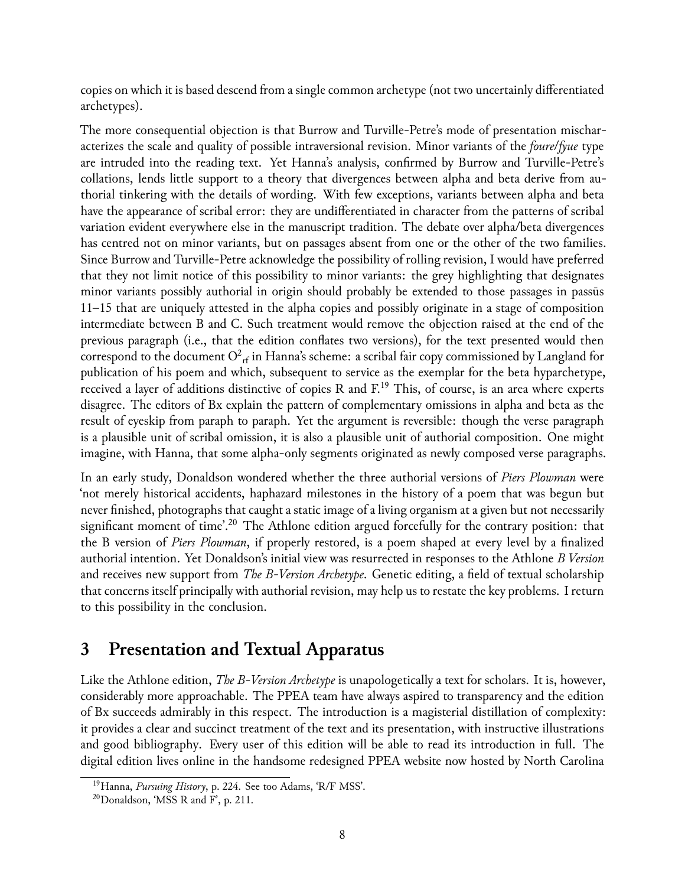copies on which it is based descend from a single common archetype (not two uncertainly differentiated archetypes).

The more consequential objection is that Burrow and Turville-Petre's mode of presentation mischaracterizes the scale and quality of possible intraversional revision. Minor variants of the *foure*/*fyue* type are intruded into the reading text. Yet Hanna's analysis, confirmed by Burrow and Turville-Petre's collations, lends little support to a theory that divergences between alpha and beta derive from authorial tinkering with the details of wording. With few exceptions, variants between alpha and beta have the appearance of scribal error: they are undifferentiated in character from the patterns of scribal variation evident everywhere else in the manuscript tradition. The debate over alpha/beta divergences has centred not on minor variants, but on passages absent from one or the other of the two families. Since Burrow and Turville-Petre acknowledge the possibility of rolling revision, I would have preferred that they not limit notice of this possibility to minor variants: the grey highlighting that designates minor variants possibly authorial in origin should probably be extended to those passages in passūs 11–15 that are uniquely attested in the alpha copies and possibly originate in a stage of composition intermediate between B and C. Such treatment would remove the objection raised at the end of the previous paragraph (i.e., that the edition conflates two versions), for the text presented would then correspond to the document  $\mathrm{O}^2_{\mathrm{rf}}$  in Hanna's scheme: a scribal fair copy commissioned by Langland for publication of his poem and which, subsequent to service as the exemplar for the beta hyparchetype, received a layer of additions distinctive of copies R and  $F<sup>19</sup>$  $F<sup>19</sup>$  $F<sup>19</sup>$  This, of course, is an area where experts disagree. The editors of Bx explain the pattern of complementary omissions in alpha and beta as the result of eyeskip from paraph to paraph. Yet the argument is reversible: though the verse paragraph is a plausible unit of scribal omission, it is also a plausible unit of authorial composition. One might imagine, with Hanna, that some alpha-only segments originated as newly composed verse paragraphs.

In an early study, Donaldson wondered whether the three authorial versions of *Piers Plowman* were 'not merely historical accidents, haphazard milestones in the history of a poem that was begun but never finished, photographs that caught a static image of a living organism at a given but not necessarily significant moment of time'.<sup>[20](#page-8-1)</sup> The Athlone edition argued forcefully for the contrary position: that the B version of *Piers Plowman*, if properly restored, is a poem shaped at every level by a finalized authorial intention. Yet Donaldson's initial view was resurrected in responses to the Athlone *B Version* and receives new support from *The B-Version Archetype*. Genetic editing, a field of textual scholarship that concerns itself principally with authorial revision, may help us to restate the key problems. I return to this possibility in the conclusion.

### **3 Presentation and Textual Apparatus**

Like the Athlone edition, *The B-Version Archetype* is unapologetically a text for scholars. It is, however, considerably more approachable. The PPEA team have always aspired to transparency and the edition of Bx succeeds admirably in this respect. The introduction is a magisterial distillation of complexity: it provides a clear and succinct treatment of the text and its presentation, with instructive illustrations and good bibliography. Every user of this edition will be able to read its introduction in full. The digital edition lives online in the handsome redesigned PPEA website now hosted by North Carolina

<span id="page-8-0"></span><sup>19</sup>Hanna, *Pursuing History*, p. 224. See too Adams, 'R/F MSS'.

<span id="page-8-1"></span> $20$ Donaldson, 'MSS R and F', p. 211.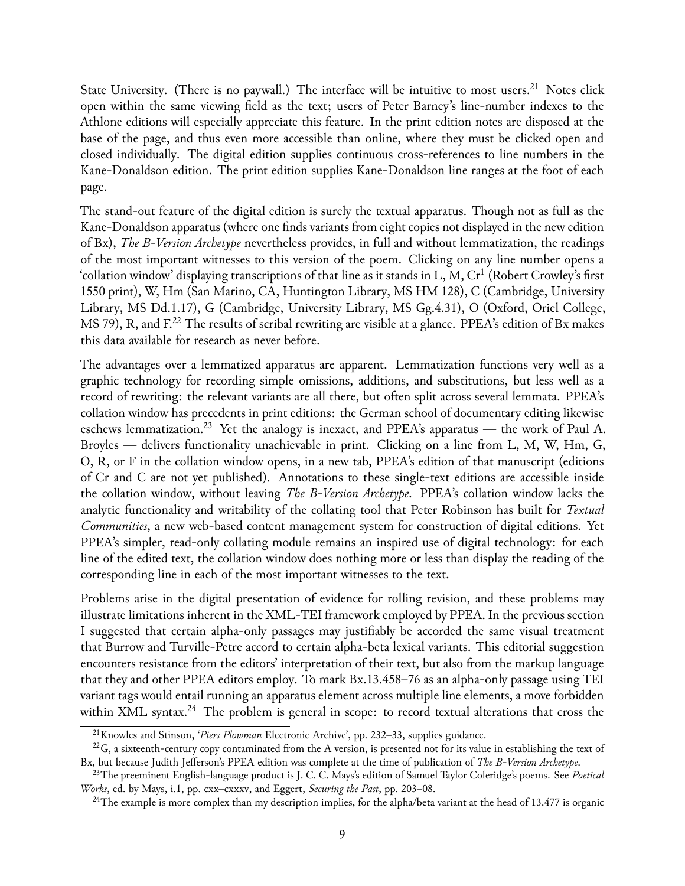State University. (There is no paywall.) The interface will be intuitive to most users.<sup>[21](#page-9-0)</sup> Notes click open within the same viewing field as the text; users of Peter Barney's line-number indexes to the Athlone editions will especially appreciate this feature. In the print edition notes are disposed at the base of the page, and thus even more accessible than online, where they must be clicked open and closed individually. The digital edition supplies continuous cross-references to line numbers in the Kane-Donaldson edition. The print edition supplies Kane-Donaldson line ranges at the foot of each page.

The stand-out feature of the digital edition is surely the textual apparatus. Though not as full as the Kane-Donaldson apparatus (where one finds variants from eight copies not displayed in the new edition of Bx), *The B-Version Archetype* nevertheless provides, in full and without lemmatization, the readings of the most important witnesses to this version of the poem. Clicking on any line number opens a 'collation window' displaying transcriptions of that line as it stands in L, M,  $\rm Cr^1$  (Robert Crowley's first 1550 print), W, Hm (San Marino, CA, Huntington Library, MS HM 128), C (Cambridge, University Library, MS Dd.1.17), G (Cambridge, University Library, MS Gg.4.31), O (Oxford, Oriel College, MS 79), R, and  $F^{22}$  $F^{22}$  $F^{22}$  The results of scribal rewriting are visible at a glance. PPEA's edition of Bx makes this data available for research as never before.

The advantages over a lemmatized apparatus are apparent. Lemmatization functions very well as a graphic technology for recording simple omissions, additions, and substitutions, but less well as a record of rewriting: the relevant variants are all there, but often split across several lemmata. PPEA's collation window has precedents in print editions: the German school of documentary editing likewise eschews lemmatization.<sup>[23](#page-9-2)</sup> Yet the analogy is inexact, and PPEA's apparatus — the work of Paul A. Broyles — delivers functionality unachievable in print. Clicking on a line from L, M, W, Hm, G, O, R, or F in the collation window opens, in a new tab, PPEA's edition of that manuscript (editions of Cr and C are not yet published). Annotations to these single-text editions are accessible inside the collation window, without leaving *The B-Version Archetype*. PPEA's collation window lacks the analytic functionality and writability of the collating tool that Peter Robinson has built for *Textual Communities*, a new web-based content management system for construction of digital editions. Yet PPEA's simpler, read-only collating module remains an inspired use of digital technology: for each line of the edited text, the collation window does nothing more or less than display the reading of the corresponding line in each of the most important witnesses to the text.

Problems arise in the digital presentation of evidence for rolling revision, and these problems may illustrate limitations inherent in the XML-TEI framework employed by PPEA. In the previous section I suggested that certain alpha-only passages may justifiably be accorded the same visual treatment that Burrow and Turville-Petre accord to certain alpha-beta lexical variants. This editorial suggestion encounters resistance from the editors' interpretation of their text, but also from the markup language that they and other PPEA editors employ. To mark Bx.13.458–76 as an alpha-only passage using TEI variant tags would entail running an apparatus element across multiple line elements, a move forbidden within XML syntax.<sup>[24](#page-9-3)</sup> The problem is general in scope: to record textual alterations that cross the

<span id="page-9-1"></span><span id="page-9-0"></span><sup>21</sup>Knowles and Stinson, '*Piers Plowman* Electronic Archive', pp. 232–33, supplies guidance.

 $22\text{G}$ , a sixteenth-century copy contaminated from the A version, is presented not for its value in establishing the text of Bx, but because Judith Jefferson's PPEA edition was complete at the time of publication of *The B-Version Archetype*.

<span id="page-9-2"></span><sup>23</sup>The preeminent English-language product is J. C. C. Mays's edition of Samuel Taylor Coleridge's poems. See *Poetical Works*, ed. by Mays, i.1, pp. cxx–cxxxv, and Eggert, *Securing the Past*, pp. 203–08.

<span id="page-9-3"></span><sup>&</sup>lt;sup>24</sup>The example is more complex than my description implies, for the alpha/beta variant at the head of 13.477 is organic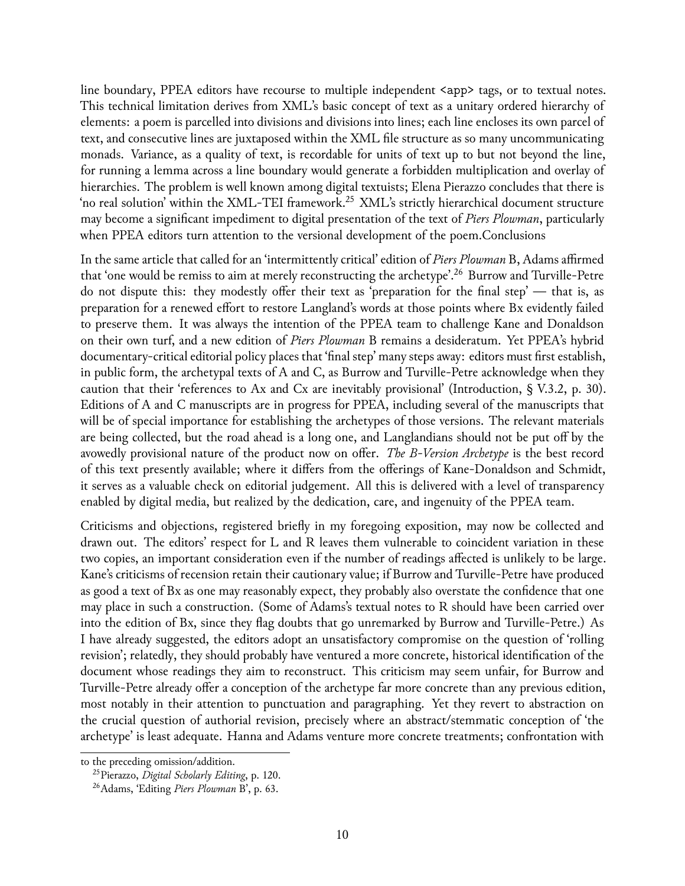line boundary, PPEA editors have recourse to multiple independent  $\langle$ app> tags, or to textual notes. This technical limitation derives from XML's basic concept of text as a unitary ordered hierarchy of elements: a poem is parcelled into divisions and divisions into lines; each line encloses its own parcel of text, and consecutive lines are juxtaposed within the XML file structure as so many uncommunicating monads. Variance, as a quality of text, is recordable for units of text up to but not beyond the line, for running a lemma across a line boundary would generate a forbidden multiplication and overlay of hierarchies. The problem is well known among digital textuists; Elena Pierazzo concludes that there is 'no real solution' within the XML-TEI framework.<sup>[25](#page-10-0)</sup> XML's strictly hierarchical document structure may become a significant impediment to digital presentation of the text of *Piers Plowman*, particularly when PPEA editors turn attention to the versional development of the poem.Conclusions

In the same article that called for an 'intermittently critical' edition of *Piers Plowman* B, Adams affirmed that 'one would be remiss to aim at merely reconstructing the archetype'.[26](#page-10-1) Burrow and Turville-Petre do not dispute this: they modestly offer their text as 'preparation for the final step' — that is, as preparation for a renewed effort to restore Langland's words at those points where Bx evidently failed to preserve them. It was always the intention of the PPEA team to challenge Kane and Donaldson on their own turf, and a new edition of *Piers Plowman* B remains a desideratum. Yet PPEA's hybrid documentary-critical editorial policy places that 'final step' many steps away: editors must first establish, in public form, the archetypal texts of A and C, as Burrow and Turville-Petre acknowledge when they caution that their 'references to Ax and Cx are inevitably provisional' (Introduction,  $\S$  V.3.2, p. 30). Editions of A and C manuscripts are in progress for PPEA, including several of the manuscripts that will be of special importance for establishing the archetypes of those versions. The relevant materials are being collected, but the road ahead is a long one, and Langlandians should not be put off by the avowedly provisional nature of the product now on offer. *The B-Version Archetype* is the best record of this text presently available; where it differs from the offerings of Kane-Donaldson and Schmidt, it serves as a valuable check on editorial judgement. All this is delivered with a level of transparency enabled by digital media, but realized by the dedication, care, and ingenuity of the PPEA team.

Criticisms and objections, registered briefly in my foregoing exposition, may now be collected and drawn out. The editors' respect for L and R leaves them vulnerable to coincident variation in these two copies, an important consideration even if the number of readings affected is unlikely to be large. Kane's criticisms of recension retain their cautionary value; if Burrow and Turville-Petre have produced as good a text of Bx as one may reasonably expect, they probably also overstate the confidence that one may place in such a construction. (Some of Adams's textual notes to R should have been carried over into the edition of Bx, since they flag doubts that go unremarked by Burrow and Turville-Petre.) As I have already suggested, the editors adopt an unsatisfactory compromise on the question of 'rolling revision'; relatedly, they should probably have ventured a more concrete, historical identification of the document whose readings they aim to reconstruct. This criticism may seem unfair, for Burrow and Turville-Petre already offer a conception of the archetype far more concrete than any previous edition, most notably in their attention to punctuation and paragraphing. Yet they revert to abstraction on the crucial question of authorial revision, precisely where an abstract/stemmatic conception of 'the archetype' is least adequate. Hanna and Adams venture more concrete treatments; confrontation with

to the preceding omission/addition.

<span id="page-10-0"></span><sup>25</sup>Pierazzo, *Digital Scholarly Editing*, p. 120.

<span id="page-10-1"></span><sup>26</sup>Adams, 'Editing *Piers Plowman* B', p. 63.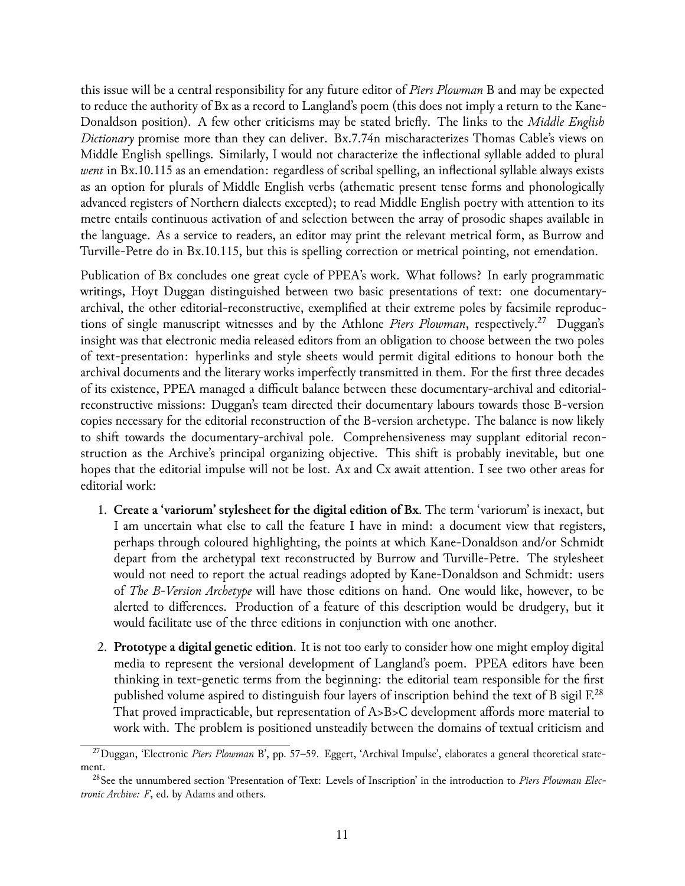this issue will be a central responsibility for any future editor of *Piers Plowman* B and may be expected to reduce the authority of Bx as a record to Langland's poem (this does not imply a return to the Kane-Donaldson position). A few other criticisms may be stated briefly. The links to the *Middle English Dictionary* promise more than they can deliver. Bx.7.74n mischaracterizes Thomas Cable's views on Middle English spellings. Similarly, I would not characterize the inflectional syllable added to plural *went* in Bx.10.115 as an emendation: regardless of scribal spelling, an inflectional syllable always exists as an option for plurals of Middle English verbs (athematic present tense forms and phonologically advanced registers of Northern dialects excepted); to read Middle English poetry with attention to its metre entails continuous activation of and selection between the array of prosodic shapes available in the language. As a service to readers, an editor may print the relevant metrical form, as Burrow and Turville-Petre do in Bx.10.115, but this is spelling correction or metrical pointing, not emendation.

Publication of Bx concludes one great cycle of PPEA's work. What follows? In early programmatic writings, Hoyt Duggan distinguished between two basic presentations of text: one documentaryarchival, the other editorial-reconstructive, exemplified at their extreme poles by facsimile reproductions of single manuscript witnesses and by the Athlone *Piers Plowman*, respectively.<sup>[27](#page-11-0)</sup> Duggan's insight was that electronic media released editors from an obligation to choose between the two poles of text-presentation: hyperlinks and style sheets would permit digital editions to honour both the archival documents and the literary works imperfectly transmitted in them. For the first three decades of its existence, PPEA managed a difficult balance between these documentary-archival and editorialreconstructive missions: Duggan's team directed their documentary labours towards those B-version copies necessary for the editorial reconstruction of the B-version archetype. The balance is now likely to shift towards the documentary-archival pole. Comprehensiveness may supplant editorial reconstruction as the Archive's principal organizing objective. This shift is probably inevitable, but one hopes that the editorial impulse will not be lost. Ax and Cx await attention. I see two other areas for editorial work:

- 1. **Create a 'variorum' stylesheet for the digital edition of Bx**. The term 'variorum' is inexact, but I am uncertain what else to call the feature I have in mind: a document view that registers, perhaps through coloured highlighting, the points at which Kane-Donaldson and/or Schmidt depart from the archetypal text reconstructed by Burrow and Turville-Petre. The stylesheet would not need to report the actual readings adopted by Kane-Donaldson and Schmidt: users of *The B-Version Archetype* will have those editions on hand. One would like, however, to be alerted to differences. Production of a feature of this description would be drudgery, but it would facilitate use of the three editions in conjunction with one another.
- 2. **Prototype a digital genetic edition**. It is not too early to consider how one might employ digital media to represent the versional development of Langland's poem. PPEA editors have been thinking in text-genetic terms from the beginning: the editorial team responsible for the first published volume aspired to distinguish four layers of inscription behind the text of B sigil  $F^{28}$  $F^{28}$  $F^{28}$ That proved impracticable, but representation of A>B>C development affords more material to work with. The problem is positioned unsteadily between the domains of textual criticism and

<span id="page-11-0"></span><sup>27</sup>Duggan, 'Electronic *Piers Plowman* B', pp. 57–59. Eggert, 'Archival Impulse', elaborates a general theoretical statement.

<span id="page-11-1"></span><sup>28</sup>See the unnumbered section 'Presentation of Text: Levels of Inscription' in the introduction to *Piers Plowman Electronic Archive: F*, ed. by Adams and others.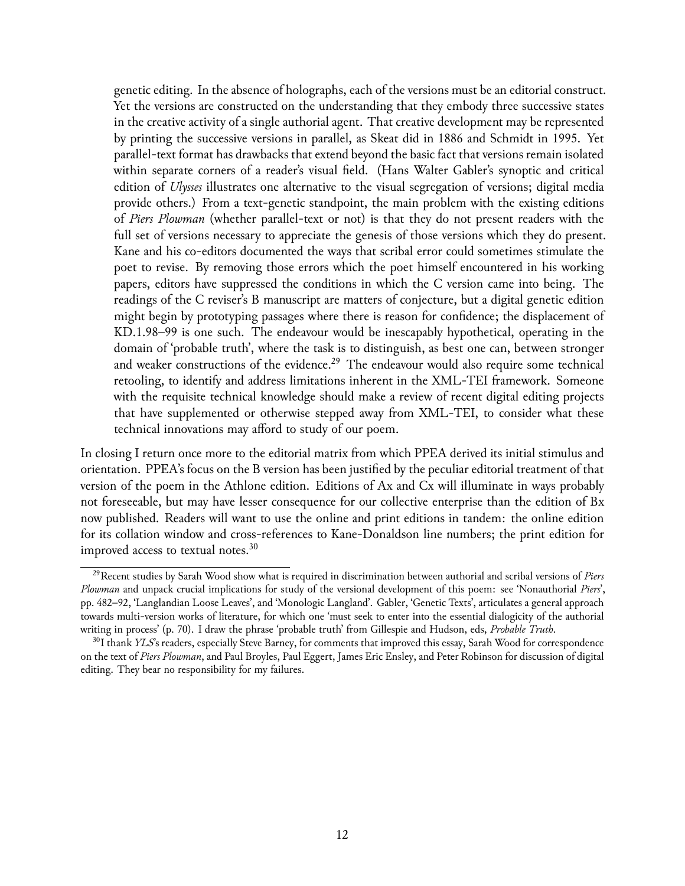genetic editing. In the absence of holographs, each of the versions must be an editorial construct. Yet the versions are constructed on the understanding that they embody three successive states in the creative activity of a single authorial agent. That creative development may be represented by printing the successive versions in parallel, as Skeat did in 1886 and Schmidt in 1995. Yet parallel-text format has drawbacks that extend beyond the basic fact that versions remain isolated within separate corners of a reader's visual field. (Hans Walter Gabler's synoptic and critical edition of *Ulysses* illustrates one alternative to the visual segregation of versions; digital media provide others.) From a text-genetic standpoint, the main problem with the existing editions of *Piers Plowman* (whether parallel-text or not) is that they do not present readers with the full set of versions necessary to appreciate the genesis of those versions which they do present. Kane and his co-editors documented the ways that scribal error could sometimes stimulate the poet to revise. By removing those errors which the poet himself encountered in his working papers, editors have suppressed the conditions in which the C version came into being. The readings of the C reviser's B manuscript are matters of conjecture, but a digital genetic edition might begin by prototyping passages where there is reason for confidence; the displacement of KD.1.98–99 is one such. The endeavour would be inescapably hypothetical, operating in the domain of 'probable truth', where the task is to distinguish, as best one can, between stronger and weaker constructions of the evidence.<sup>[29](#page-12-0)</sup> The endeavour would also require some technical retooling, to identify and address limitations inherent in the XML-TEI framework. Someone with the requisite technical knowledge should make a review of recent digital editing projects that have supplemented or otherwise stepped away from XML-TEI, to consider what these technical innovations may afford to study of our poem.

In closing I return once more to the editorial matrix from which PPEA derived its initial stimulus and orientation. PPEA's focus on the B version has been justified by the peculiar editorial treatment of that version of the poem in the Athlone edition. Editions of Ax and Cx will illuminate in ways probably not foreseeable, but may have lesser consequence for our collective enterprise than the edition of Bx now published. Readers will want to use the online and print editions in tandem: the online edition for its collation window and cross-references to Kane-Donaldson line numbers; the print edition for improved access to textual notes.<sup>[30](#page-12-1)</sup>

<span id="page-12-0"></span><sup>29</sup>Recent studies by Sarah Wood show what is required in discrimination between authorial and scribal versions of *Piers Plowman* and unpack crucial implications for study of the versional development of this poem: see 'Nonauthorial *Piers*', pp. 482–92, 'Langlandian Loose Leaves', and 'Monologic Langland'. Gabler, 'Genetic Texts', articulates a general approach towards multi-version works of literature, for which one 'must seek to enter into the essential dialogicity of the authorial writing in process' (p. 70). I draw the phrase 'probable truth' from Gillespie and Hudson, eds, *Probable Truth*.

<span id="page-12-1"></span><sup>30</sup>I thank *YLS*'s readers, especially Steve Barney, for comments that improved this essay, Sarah Wood for correspondence on the text of *Piers Plowman*, and Paul Broyles, Paul Eggert, James Eric Ensley, and Peter Robinson for discussion of digital editing. They bear no responsibility for my failures.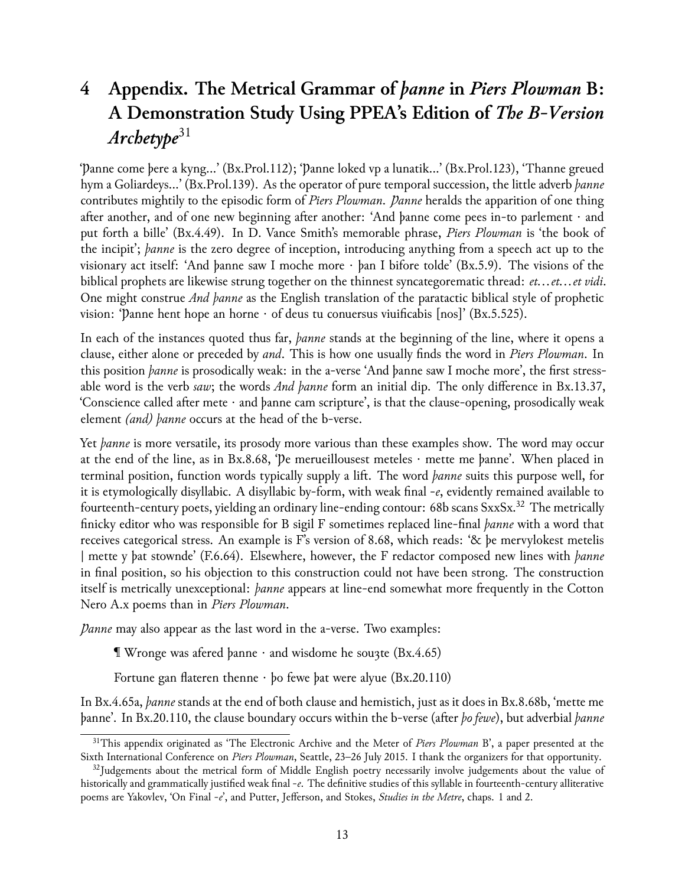# **4 Appendix. The Metrical Grammar of** *þanne* **in** *Piers Plowman* **B: A Demonstration Study Using PPEA's Edition of** *The B-Version Archetype*[31](#page-13-0)

'Þanne come þere a kyng…' (Bx.Prol.112); 'Þanne loked vp a lunatik…' (Bx.Prol.123), 'Thanne greued hym a Goliardeys…' (Bx.Prol.139). As the operator of pure temporal succession, the little adverb *þanne* contributes mightily to the episodic form of *Piers Plowman*. *Þanne* heralds the apparition of one thing after another, and of one new beginning after another: 'And þanne come pees in-to parlement · and put forth a bille' (Bx.4.49). In D. Vance Smith's memorable phrase, *Piers Plowman* is 'the book of the incipit'; *þanne* is the zero degree of inception, introducing anything from a speech act up to the visionary act itself: 'And þanne saw I moche more · þan I bifore tolde' (Bx.5.9). The visions of the biblical prophets are likewise strung together on the thinnest syncategorematic thread: *et…et…et vidi*. One might construe *And þanne* as the English translation of the paratactic biblical style of prophetic vision: 'Þanne hent hope an horne · of deus tu conuersus viuificabis [nos]' (Bx.5.525).

In each of the instances quoted thus far, *þanne* stands at the beginning of the line, where it opens a clause, either alone or preceded by *and*. This is how one usually finds the word in *Piers Plowman*. In this position *þanne* is prosodically weak: in the a-verse 'And þanne saw I moche more', the first stressable word is the verb *saw*; the words *And þanne* form an initial dip. The only difference in Bx.13.37, 'Conscience called after mete · and þanne cam scripture', is that the clause-opening, prosodically weak element *(and) þanne* occurs at the head of the b-verse.

Yet *þanne* is more versatile, its prosody more various than these examples show. The word may occur at the end of the line, as in Bx.8.68, 'Þe merueillousest meteles · mette me þanne'. When placed in terminal position, function words typically supply a lift. The word *þanne* suits this purpose well, for it is etymologically disyllabic. A disyllabic by-form, with weak final -*e*, evidently remained available to fourteenth-century poets, yielding an ordinary line-ending contour: 68b scans SxxSx.<sup>[32](#page-13-1)</sup> The metrically finicky editor who was responsible for B sigil F sometimes replaced line-final *þanne* with a word that receives categorical stress. An example is F's version of 8.68, which reads: '& þe mervylokest metelis | mette y þat stownde' (F.6.64). Elsewhere, however, the F redactor composed new lines with *þanne* in final position, so his objection to this construction could not have been strong. The construction itself is metrically unexceptional: *þanne* appears at line-end somewhat more frequently in the Cotton Nero A.x poems than in *Piers Plowman*.

*Panne* may also appear as the last word in the a-verse. Two examples:

 $\mathbb T$  Wronge was afered þanne  $\cdot$  and wisdome he souzte (Bx.4.65)

Fortune gan flateren thenne · þo fewe þat were alyue (Bx.20.110)

In Bx.4.65a, *þanne* stands at the end of both clause and hemistich, just as it does in Bx.8.68b, 'mette me þanne'. In Bx.20.110, the clause boundary occurs within the b-verse (after *þo fewe*), but adverbial *þanne*

<span id="page-13-0"></span><sup>31</sup>This appendix originated as 'The Electronic Archive and the Meter of *Piers Plowman* B', a paper presented at the Sixth International Conference on *Piers Plowman*, Seattle, 23–26 July 2015. I thank the organizers for that opportunity.

<span id="page-13-1"></span> $32$ Judgements about the metrical form of Middle English poetry necessarily involve judgements about the value of historically and grammatically justified weak final -*e*. The definitive studies of this syllable in fourteenth-century alliterative poems are Yakovlev, 'On Final -*e*', and Putter, Jefferson, and Stokes, *Studies in the Metre*, chaps. 1 and 2.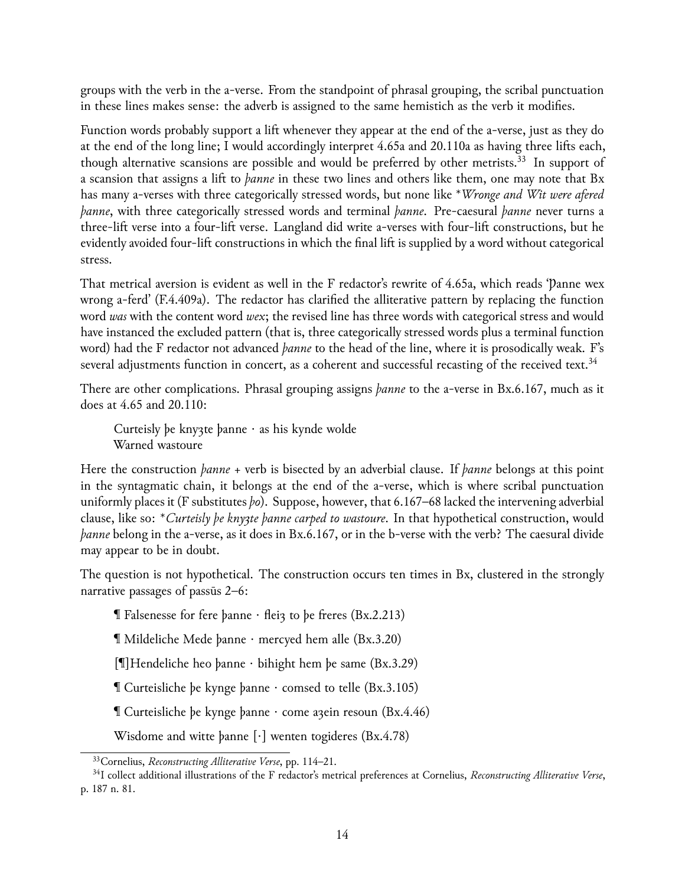groups with the verb in the a-verse. From the standpoint of phrasal grouping, the scribal punctuation in these lines makes sense: the adverb is assigned to the same hemistich as the verb it modifies.

Function words probably support a lift whenever they appear at the end of the a-verse, just as they do at the end of the long line; I would accordingly interpret 4.65a and 20.110a as having three lifts each, though alternative scansions are possible and would be preferred by other metrists.<sup>[33](#page-14-0)</sup> In support of a scansion that assigns a lift to *þanne* in these two lines and others like them, one may note that Bx has many a-verses with three categorically stressed words, but none like \**Wronge and Wit were afered þanne*, with three categorically stressed words and terminal *þanne*. Pre-caesural *þanne* never turns a three-lift verse into a four-lift verse. Langland did write a-verses with four-lift constructions, but he evidently avoided four-lift constructions in which the final lift is supplied by a word without categorical stress.

That metrical aversion is evident as well in the F redactor's rewrite of 4.65a, which reads 'Þanne wex wrong a-ferd' (F.4.409a). The redactor has clarified the alliterative pattern by replacing the function word *was* with the content word *wex*; the revised line has three words with categorical stress and would have instanced the excluded pattern (that is, three categorically stressed words plus a terminal function word) had the F redactor not advanced *þanne* to the head of the line, where it is prosodically weak. F's several adjustments function in concert, as a coherent and successful recasting of the received text.<sup>[34](#page-14-1)</sup>

There are other complications. Phrasal grouping assigns *þanne* to the a-verse in Bx.6.167, much as it does at 4.65 and 20.110:

Curteisly þe kny3te þanne · as his kynde wolde Warned wastoure

Here the construction *þanne* + verb is bisected by an adverbial clause. If *þanne* belongs at this point in the syntagmatic chain, it belongs at the end of the a-verse, which is where scribal punctuation uniformly places it (F substitutes *þo*). Suppose, however, that 6.167–68 lacked the intervening adverbial clause, like so: \**Curteisly þe knyȝte þanne carped to wastoure*. In that hypothetical construction, would *banne* belong in the a-verse, as it does in Bx.6.167, or in the b-verse with the verb? The caesural divide may appear to be in doubt.

The question is not hypothetical. The construction occurs ten times in Bx, clustered in the strongly narrative passages of passūs 2–6:

 $\P$  Falsenesse for fere þanne  $\cdot$  flei $\alpha$  to be freres (Bx.2.213)

¶ Mildeliche Mede þanne · mercyed hem alle (Bx.3.20)

[¶]Hendeliche heo þanne · bihight hem þe same (Bx.3.29)

¶ Curteisliche þe kynge þanne · comsed to telle (Bx.3.105)

 $\mathbb T$  Curteisliche þe kynge þanne  $\cdot$  come a $\chi$ ein resoun (Bx.4.46)

Wisdome and witte þanne [·] wenten togideres (Bx.4.78)

<span id="page-14-1"></span><span id="page-14-0"></span><sup>33</sup>Cornelius, *Reconstructing Alliterative Verse*, pp. 114–21.

<sup>34</sup>I collect additional illustrations of the F redactor's metrical preferences at Cornelius, *Reconstructing Alliterative Verse*, p. 187 n. 81.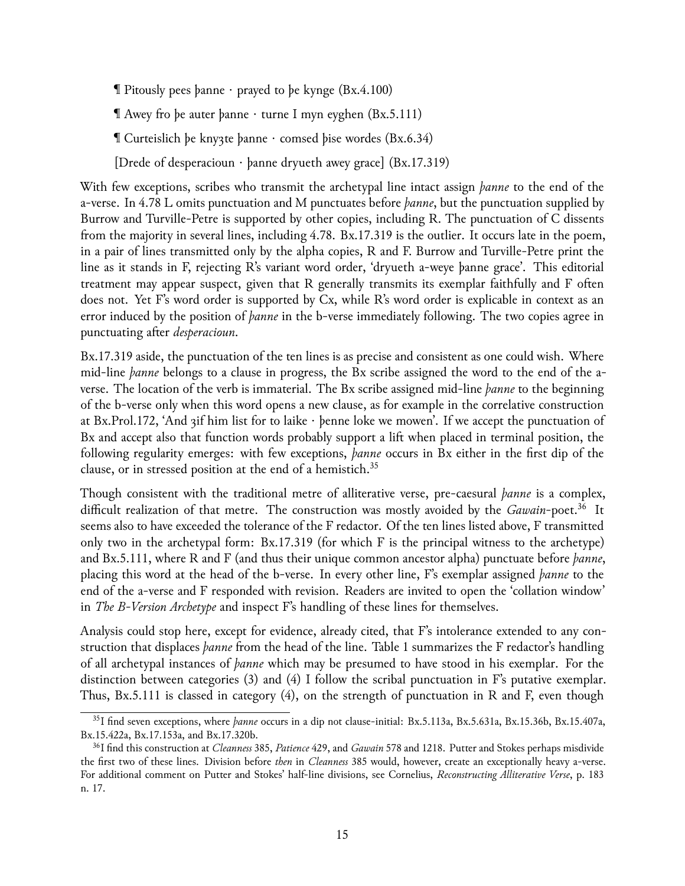**T** Pitously pees þanne  $\cdot$  prayed to be kynge (Bx.4.100)

¶ Awey fro þe auter þanne · turne I myn eyghen (Bx.5.111)

¶ Curteislich þe knyȝte þanne · comsed þise wordes (Bx.6.34)

[Drede of desperacioun · þanne dryueth awey grace] (Bx.17.319)

With few exceptions, scribes who transmit the archetypal line intact assign *þanne* to the end of the a-verse. In 4.78 L omits punctuation and M punctuates before *þanne*, but the punctuation supplied by Burrow and Turville-Petre is supported by other copies, including R. The punctuation of C dissents from the majority in several lines, including 4.78. Bx.17.319 is the outlier. It occurs late in the poem, in a pair of lines transmitted only by the alpha copies, R and F. Burrow and Turville-Petre print the line as it stands in F, rejecting R's variant word order, 'dryueth a-weye þanne grace'. This editorial treatment may appear suspect, given that R generally transmits its exemplar faithfully and F often does not. Yet F's word order is supported by Cx, while R's word order is explicable in context as an error induced by the position of *þanne* in the b-verse immediately following. The two copies agree in punctuating after *desperacioun*.

Bx.17.319 aside, the punctuation of the ten lines is as precise and consistent as one could wish. Where mid-line *þanne* belongs to a clause in progress, the Bx scribe assigned the word to the end of the averse. The location of the verb is immaterial. The Bx scribe assigned mid-line *þanne* to the beginning of the b-verse only when this word opens a new clause, as for example in the correlative construction at Bx.Prol.172, 'And ȝif him list for to laike · þenne loke we mowen'. If we accept the punctuation of Bx and accept also that function words probably support a lift when placed in terminal position, the following regularity emerges: with few exceptions, *þanne* occurs in Bx either in the first dip of the clause, or in stressed position at the end of a hemistich.[35](#page-15-0)

Though consistent with the traditional metre of alliterative verse, pre-caesural *þanne* is a complex, difficult realization of that metre. The construction was mostly avoided by the *Gawain*-poet.<sup>[36](#page-15-1)</sup> It seems also to have exceeded the tolerance of the F redactor. Of the ten lines listed above, F transmitted only two in the archetypal form: Bx.17.319 (for which F is the principal witness to the archetype) and Bx.5.111, where R and F (and thus their unique common ancestor alpha) punctuate before *þanne*, placing this word at the head of the b-verse. In every other line, F's exemplar assigned *þanne* to the end of the a-verse and F responded with revision. Readers are invited to open the 'collation window' in *The B-Version Archetype* and inspect F's handling of these lines for themselves.

Analysis could stop here, except for evidence, already cited, that F's intolerance extended to any construction that displaces *þanne* from the head of the line. Table 1 summarizes the F redactor's handling of all archetypal instances of *þanne* which may be presumed to have stood in his exemplar. For the distinction between categories (3) and (4) I follow the scribal punctuation in F's putative exemplar. Thus, Bx.5.111 is classed in category (4), on the strength of punctuation in R and F, even though

<span id="page-15-0"></span><sup>35</sup>I find seven exceptions, where *þanne* occurs in a dip not clause-initial: Bx.5.113a, Bx.5.631a, Bx.15.36b, Bx.15.407a, Bx.15.422a, Bx.17.153a, and Bx.17.320b.

<span id="page-15-1"></span><sup>36</sup>I find this construction at *Cleanness* 385, *Patience* 429, and *Gawain* 578 and 1218. Putter and Stokes perhaps misdivide the first two of these lines. Division before *then* in *Cleanness* 385 would, however, create an exceptionally heavy a-verse. For additional comment on Putter and Stokes' half-line divisions, see Cornelius, *Reconstructing Alliterative Verse*, p. 183 n. 17.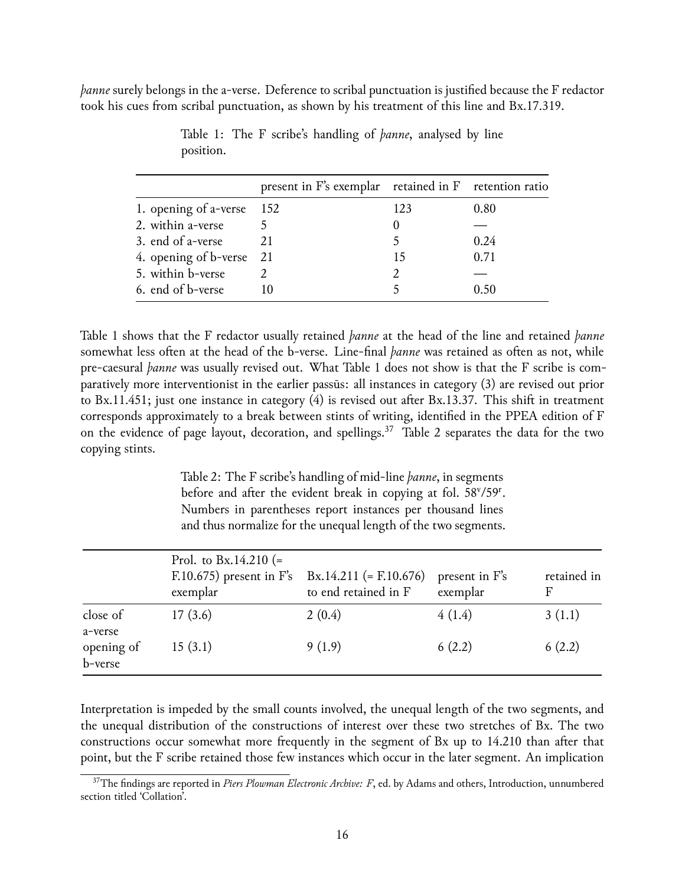*þanne* surely belongs in the a-verse. Deference to scribal punctuation is justified because the F redactor took his cues from scribal punctuation, as shown by his treatment of this line and Bx.17.319.

|                          | present in F's exemplar retained in F retention ratio |     |      |
|--------------------------|-------------------------------------------------------|-----|------|
| 1. opening of a-verse    | - 152                                                 | 123 | 0.80 |
| 2. within a-verse        | $\overline{5}$                                        |     |      |
| 3. end of a-verse        | 21                                                    |     | 0.24 |
| 4. opening of b-verse 21 |                                                       | 15  | 0.71 |
| 5. within b-verse        |                                                       |     |      |
| 6. end of b-verse        |                                                       |     | O 50 |

Table 1: The F scribe's handling of *þanne*, analysed by line position.

Table 1 shows that the F redactor usually retained *þanne* at the head of the line and retained *þanne* somewhat less often at the head of the b-verse. Line-final *þanne* was retained as often as not, while pre-caesural *þanne* was usually revised out. What Table 1 does not show is that the F scribe is comparatively more interventionist in the earlier passūs: all instances in category (3) are revised out prior to Bx.11.451; just one instance in category (4) is revised out after Bx.13.37. This shift in treatment corresponds approximately to a break between stints of writing, identified in the PPEA edition of F on the evidence of page layout, decoration, and spellings.<sup>[37](#page-16-0)</sup> Table 2 separates the data for the two copying stints.

> Table 2: The F scribe's handling of mid-line *þanne*, in segments before and after the evident break in copying at fol. 58<sup>v</sup>/59<sup>r</sup>. Numbers in parentheses report instances per thousand lines and thus normalize for the unequal length of the two segments.

|                       | Prol. to Bx.14.210 (=<br>$F.10.675$ ) present in F's<br>exemplar | $Bx.14.211$ (= F.10.676)<br>to end retained in F | present in F's<br>exemplar | retained in<br>F |
|-----------------------|------------------------------------------------------------------|--------------------------------------------------|----------------------------|------------------|
| close of<br>a-verse   | 17(3.6)                                                          | 2(0.4)                                           | 4(1.4)                     | 3(1.1)           |
| opening of<br>b-verse | 15(3.1)                                                          | 9(1.9)                                           | 6(2.2)                     | 6(2.2)           |

Interpretation is impeded by the small counts involved, the unequal length of the two segments, and the unequal distribution of the constructions of interest over these two stretches of Bx. The two constructions occur somewhat more frequently in the segment of Bx up to 14.210 than after that point, but the F scribe retained those few instances which occur in the later segment. An implication

<span id="page-16-0"></span><sup>&</sup>lt;sup>37</sup>The findings are reported in *Piers Plowman Electronic Archive: F*, ed. by Adams and others, Introduction, unnumbered section titled 'Collation'.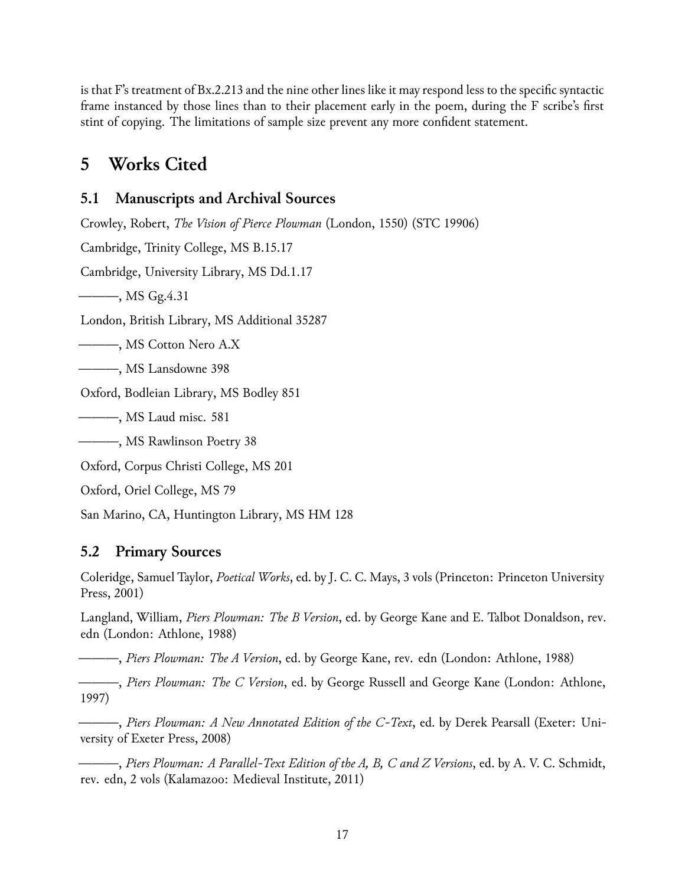is that F's treatment of Bx.2.213 and the nine other lines like it may respond less to the specific syntactic frame instanced by those lines than to their placement early in the poem, during the F scribe's first stint of copying. The limitations of sample size prevent any more confident statement.

## **5 Works Cited**

#### **5.1 Manuscripts and Archival Sources**

Crowley, Robert, *The Vision of Pierce Plowman* (London, 1550) (STC 19906) Cambridge, Trinity College, MS B.15.17 Cambridge, University Library, MS Dd.1.17 ———, MS Gg.4.31 London, British Library, MS Additional 35287 ———, MS Cotton Nero A.X ———, MS Lansdowne 398 Oxford, Bodleian Library, MS Bodley 851 ———, MS Laud misc. 581 ———, MS Rawlinson Poetry 38 Oxford, Corpus Christi College, MS 201 Oxford, Oriel College, MS 79

San Marino, CA, Huntington Library, MS HM 128

### **5.2 Primary Sources**

Coleridge, Samuel Taylor, *Poetical Works*, ed. by J. C. C. Mays, 3 vols (Princeton: Princeton University Press, 2001)

Langland, William, *Piers Plowman: The B Version*, ed. by George Kane and E. Talbot Donaldson, rev. edn (London: Athlone, 1988)

———, *Piers Plowman: The A Version*, ed. by George Kane, rev. edn (London: Athlone, 1988)

———, *Piers Plowman: The C Version*, ed. by George Russell and George Kane (London: Athlone, 1997)

———, *Piers Plowman: A New Annotated Edition of the C-Text*, ed. by Derek Pearsall (Exeter: University of Exeter Press, 2008)

———, *Piers Plowman: A Parallel-Text Edition of the A, B, C and Z Versions*, ed. by A. V. C. Schmidt, rev. edn, 2 vols (Kalamazoo: Medieval Institute, 2011)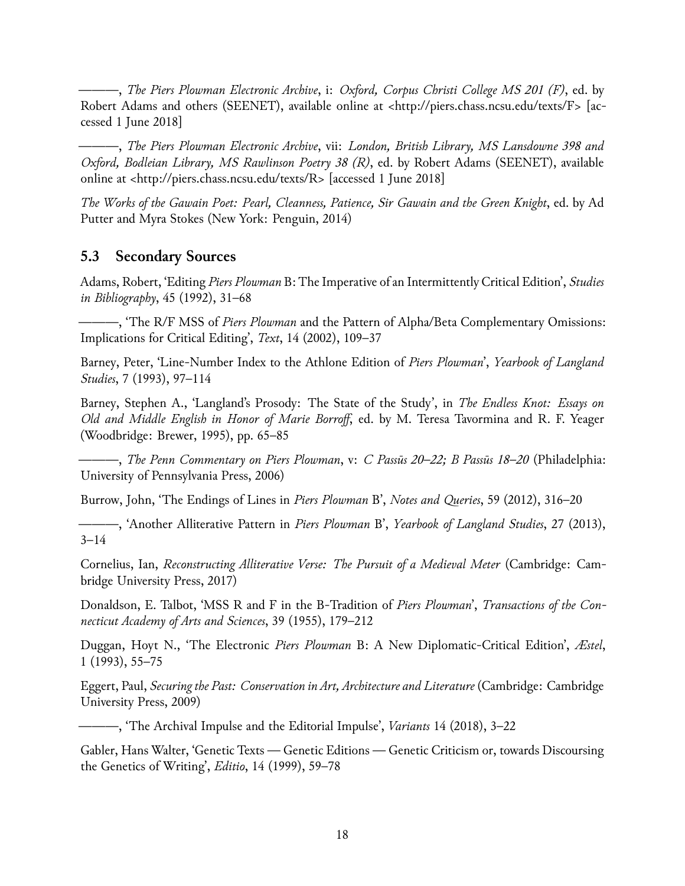———, *The Piers Plowman Electronic Archive*, i: *Oxford, Corpus Christi College MS 201 (F)*, ed. by Robert Adams and others (SEENET), available online at <http://piers.chass.ncsu.edu/texts/F> [accessed 1 June 2018]

———, *The Piers Plowman Electronic Archive*, vii: *London, British Library, MS Lansdowne 398 and Oxford, Bodleian Library, MS Rawlinson Poetry 38 (R)*, ed. by Robert Adams (SEENET), available online at <http://piers.chass.ncsu.edu/texts/R> [accessed 1 June 2018]

*The Works of the Gawain Poet: Pearl, Cleanness, Patience, Sir Gawain and the Green Knight*, ed. by Ad Putter and Myra Stokes (New York: Penguin, 2014)

#### **5.3 Secondary Sources**

Adams, Robert, 'Editing *Piers Plowman* B: The Imperative of an Intermittently Critical Edition', *Studies in Bibliography*, 45 (1992), 31–68

———, 'The R/F MSS of *Piers Plowman* and the Pattern of Alpha/Beta Complementary Omissions: Implications for Critical Editing', *Text*, 14 (2002), 109–37

Barney, Peter, 'Line-Number Index to the Athlone Edition of *Piers Plowman*', *Yearbook of Langland Studies*, 7 (1993), 97–114

Barney, Stephen A., 'Langland's Prosody: The State of the Study', in *The Endless Knot: Essays on Old and Middle English in Honor of Marie Borroff*, ed. by M. Teresa Tavormina and R. F. Yeager (Woodbridge: Brewer, 1995), pp. 65–85

———, *The Penn Commentary on Piers Plowman*, v: *C Passūs 20–22; B Passūs 18–20* (Philadelphia: University of Pennsylvania Press, 2006)

Burrow, John, 'The Endings of Lines in *Piers Plowman* B', *Notes and Queries*, 59 (2012), 316–20

———, 'Another Alliterative Pattern in *Piers Plowman* B', *Yearbook of Langland Studies*, 27 (2013), 3–14

Cornelius, Ian, *Reconstructing Alliterative Verse: The Pursuit of a Medieval Meter* (Cambridge: Cambridge University Press, 2017)

Donaldson, E. Talbot, 'MSS R and F in the B-Tradition of *Piers Plowman*', *Transactions of the Connecticut Academy of Arts and Sciences*, 39 (1955), 179–212

Duggan, Hoyt N., 'The Electronic *Piers Plowman* B: A New Diplomatic-Critical Edition', *Æstel*, 1 (1993), 55–75

Eggert, Paul, *Securing the Past: Conservation in Art, Architecture and Literature* (Cambridge: Cambridge University Press, 2009)

———, 'The Archival Impulse and the Editorial Impulse', *Variants* 14 (2018), 3–22

Gabler, Hans Walter, 'Genetic Texts — Genetic Editions — Genetic Criticism or, towards Discoursing the Genetics of Writing', *Editio*, 14 (1999), 59–78